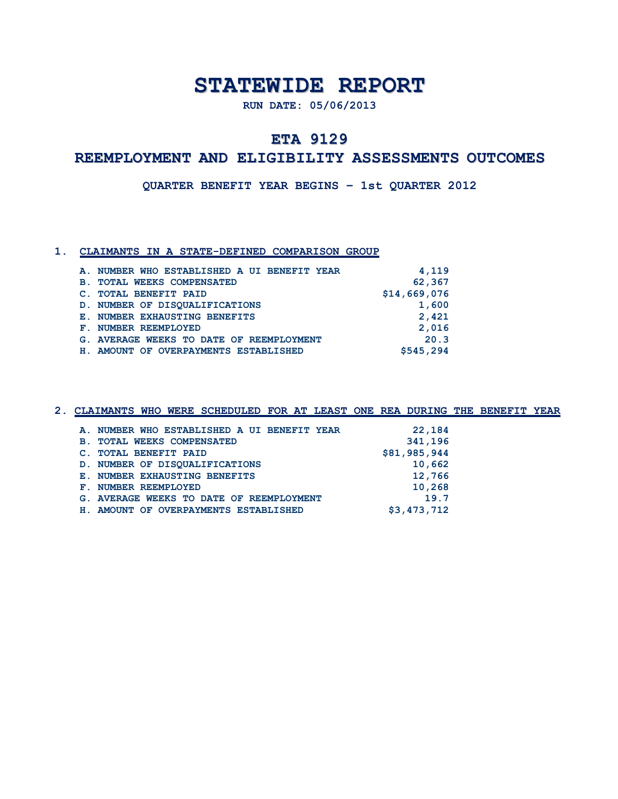# **STATEWIDE REPORT**

**RUN DATE: 05/06/2013**

## **ETA 9129**

### **REEMPLOYMENT AND ELIGIBILITY ASSESSMENTS OUTCOMES**

**QUARTER BENEFIT YEAR BEGINS – 1st QUARTER 2012**

#### **1. CLAIMANTS IN A STATE-DEFINED COMPARISON GROUP**

|            | A. NUMBER WHO ESTABLISHED A UI BENEFIT YEAR | 4,119        |
|------------|---------------------------------------------|--------------|
| <b>B</b> . | <b>TOTAL WEEKS COMPENSATED</b>              | 62,367       |
|            | <b>TOTAL BENEFIT PAID</b>                   | \$14,669,076 |
|            | D. NUMBER OF DISOUALIFICATIONS              | 1,600        |
|            | E. NUMBER EXHAUSTING BENEFITS               | 2,421        |
|            | F. NUMBER REEMPLOYED                        | 2,016        |
|            | G. AVERAGE WEEKS TO DATE OF REEMPLOYMENT    | 20.3         |
|            | H. AMOUNT OF OVERPAYMENTS ESTABLISHED       | \$545,294    |
|            |                                             |              |

**2. CLAIMANTS WHO WERE SCHEDULED FOR AT LEAST ONE REA DURING THE BENEFIT YEAR A. NUMBER WHO ESTABLISHED A UI BENEFIT YEAR 22,184 B. TOTAL WEEKS COMPENSATED 341,196 C. TOTAL BENEFIT PAID \$81,985,944 D. NUMBER OF DISQUALIFICATIONS 10,662 E. NUMBER EXHAUSTING BENEFITS 12,766 F. NUMBER REEMPLOYED** 10,268  **G. AVERAGE WEEKS TO DATE OF REEMPLOYMENT 19.7** H. AMOUNT OF OVERPAYMENTS ESTABLISHED \$3,473,712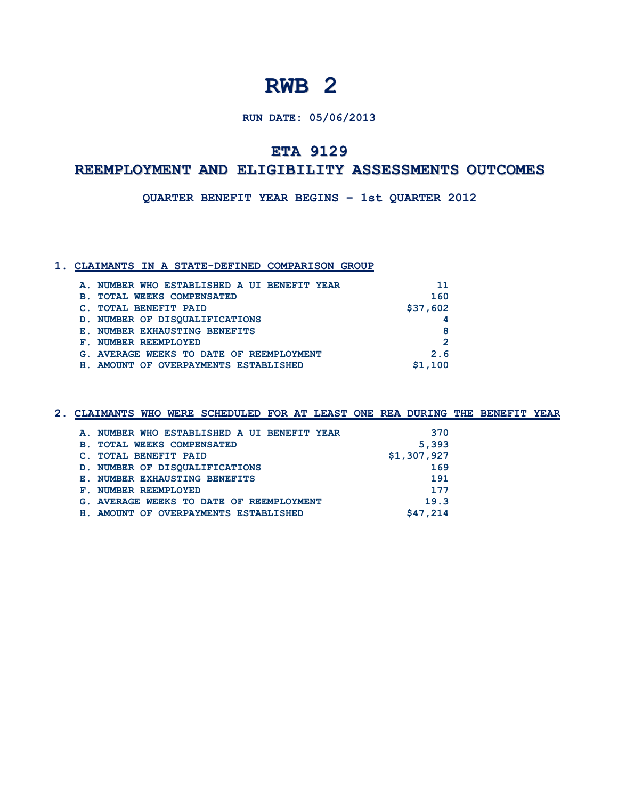#### **RUN DATE: 05/06/2013**

## **ETA 9129**

### **REEMPLOYMENT AND ELIGIBILITY ASSESSMENTS OUTCOMES**

**QUARTER BENEFIT YEAR BEGINS – 1st QUARTER 2012**

#### **1. CLAIMANTS IN A STATE-DEFINED COMPARISON GROUP**

|                           | A. NUMBER WHO ESTABLISHED A UI BENEFIT YEAR |  | 11       |
|---------------------------|---------------------------------------------|--|----------|
| <b>B</b> .                | <b>TOTAL WEEKS COMPENSATED</b>              |  | 160      |
| <b>TOTAL BENEFIT PAID</b> |                                             |  | \$37,602 |
|                           | D. NUMBER OF DISOUALIFICATIONS              |  |          |
|                           | E. NUMBER EXHAUSTING BENEFITS               |  | 8        |
| F. NUMBER REEMPLOYED      |                                             |  | 2        |
|                           | G. AVERAGE WEEKS TO DATE OF REEMPLOYMENT    |  | 2.6      |
|                           | H. AMOUNT OF OVERPAYMENTS ESTABLISHED       |  | \$1.100  |

# **2. CLAIMANTS WHO WERE SCHEDULED FOR AT LEAST ONE REA DURING THE BENEFIT YEAR A. NUMBER WHO ESTABLISHED A UI BENEFIT YEAR 370**

| <b>B. TOTAL WEEKS COMPENSATED</b>        | 5,393       |
|------------------------------------------|-------------|
| C. TOTAL BENEFIT PAID                    | \$1,307,927 |
| D. NUMBER OF DISQUALIFICATIONS           | 169         |
| E. NUMBER EXHAUSTING BENEFITS            | 191         |
| F. NUMBER REEMPLOYED                     | 177         |
| G. AVERAGE WEEKS TO DATE OF REEMPLOYMENT | 19.3        |
| H. AMOUNT OF OVERPAYMENTS ESTABLISHED    | \$47,214    |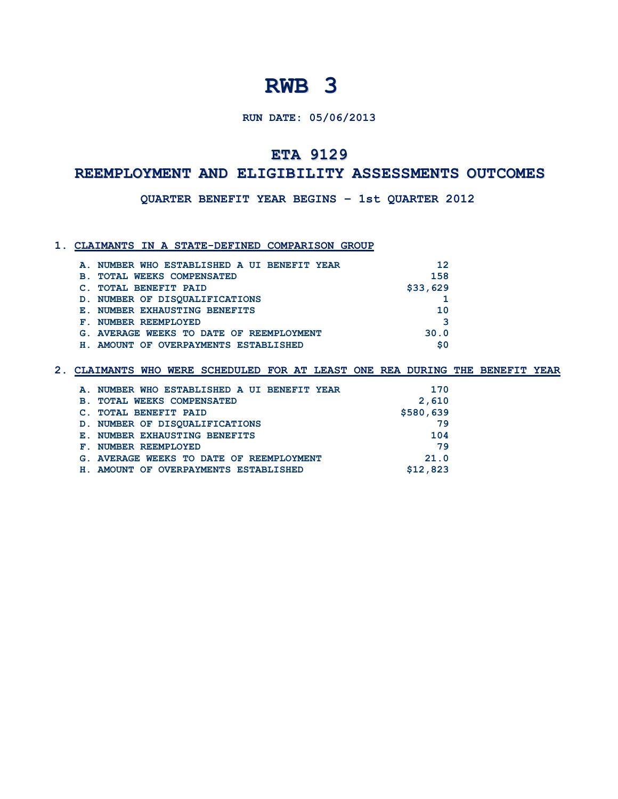#### **RUN DATE: 05/06/2013**

## **ETA 9129**

### **REEMPLOYMENT AND ELIGIBILITY ASSESSMENTS OUTCOMES**

**QUARTER BENEFIT YEAR BEGINS – 1st QUARTER 2012**

#### **1. CLAIMANTS IN A STATE-DEFINED COMPARISON GROUP**

| A. NUMBER WHO ESTABLISHED A UI BENEFIT YEAR  | 12       |
|----------------------------------------------|----------|
| <b>TOTAL WEEKS COMPENSATED</b><br><b>B</b> . | 158      |
| <b>TOTAL BENEFIT PAID</b>                    | \$33,629 |
| D. NUMBER OF DISOUALIFICATIONS               |          |
| E. NUMBER EXHAUSTING BENEFITS                | 10       |
| F. NUMBER REEMPLOYED                         | З        |
| G. AVERAGE WEEKS TO DATE OF REEMPLOYMENT     | 30.0     |
| AMOUNT OF OVERPAYMENTS ESTABLISHED<br>н.     | \$0      |

|            | A. NUMBER WHO ESTABLISHED A UI BENEFIT YEAR | 170       |
|------------|---------------------------------------------|-----------|
| <b>B</b> . | <b>TOTAL WEEKS COMPENSATED</b>              | 2,610     |
|            | C. TOTAL BENEFIT PAID                       | \$580,639 |
|            | D. NUMBER OF DISOUALIFICATIONS              | 79        |
|            | E. NUMBER EXHAUSTING BENEFITS               | 104       |
|            | F. NUMBER REEMPLOYED                        | 79        |
|            | G. AVERAGE WEEKS TO DATE OF REEMPLOYMENT    | 21.0      |
|            | H. AMOUNT OF OVERPAYMENTS ESTABLISHED       | \$12,823  |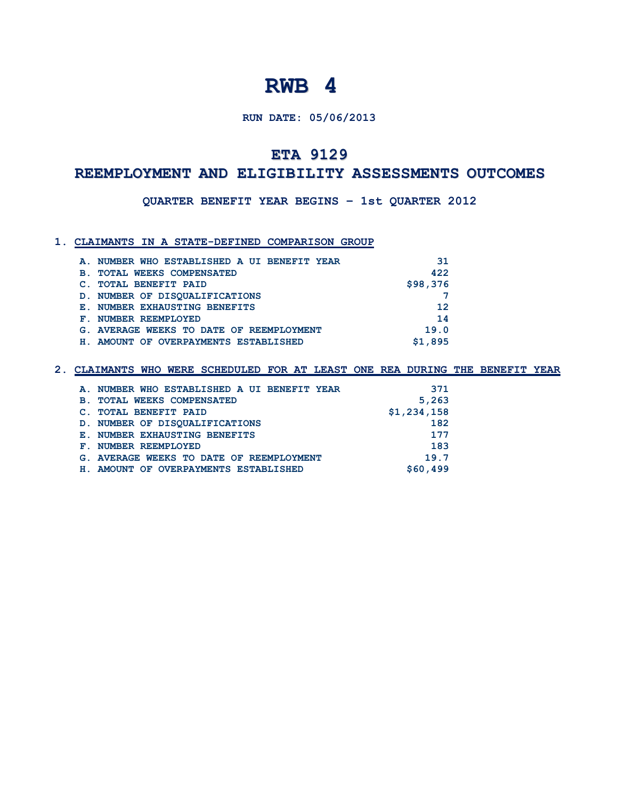#### **RUN DATE: 05/06/2013**

## **ETA 9129**

### **REEMPLOYMENT AND ELIGIBILITY ASSESSMENTS OUTCOMES**

**QUARTER BENEFIT YEAR BEGINS – 1st QUARTER 2012**

#### **1. CLAIMANTS IN A STATE-DEFINED COMPARISON GROUP**

| A. NUMBER WHO ESTABLISHED A UI BENEFIT YEAR | 31       |
|---------------------------------------------|----------|
| <b>B. TOTAL WEEKS COMPENSATED</b>           | 422      |
| <b>TOTAL BENEFIT PAID</b>                   | \$98,376 |
| D. NUMBER OF DISOUALIFICATIONS              |          |
| E. NUMBER EXHAUSTING BENEFITS               | 12       |
| F. NUMBER REEMPLOYED                        | 14       |
| G. AVERAGE WEEKS TO DATE OF REEMPLOYMENT    | 19.0     |
| AMOUNT OF OVERPAYMENTS ESTABLISHED<br>н.    | \$1.895  |
|                                             |          |

|            | A. NUMBER WHO ESTABLISHED A UI BENEFIT YEAR | 371         |
|------------|---------------------------------------------|-------------|
| <b>B</b> . | <b>TOTAL WEEKS COMPENSATED</b>              | 5,263       |
|            | C. TOTAL BENEFIT PAID                       | \$1,234,158 |
|            | D. NUMBER OF DISOUALIFICATIONS              | 182         |
|            | E. NUMBER EXHAUSTING BENEFITS               | 177         |
|            | F. NUMBER REEMPLOYED                        | 183         |
|            | G. AVERAGE WEEKS TO DATE OF REEMPLOYMENT    | 19.7        |
|            | H. AMOUNT OF OVERPAYMENTS ESTABLISHED       | \$60,499    |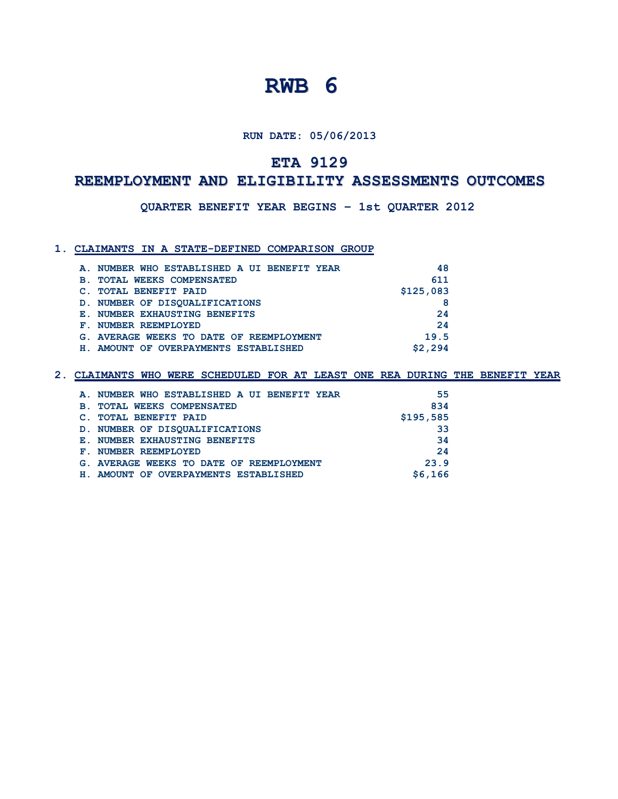**RUN DATE: 05/06/2013**

## **ETA 9129**

## **REEMPLOYMENT AND ELIGIBILITY ASSESSMENTS OUTCOMES**

**QUARTER BENEFIT YEAR BEGINS – 1st QUARTER 2012**

#### **1. CLAIMANTS IN A STATE-DEFINED COMPARISON GROUP**

|            | A. NUMBER WHO ESTABLISHED A UI BENEFIT YEAR |  | 48        |
|------------|---------------------------------------------|--|-----------|
| <b>B</b> . | <b>TOTAL WEEKS COMPENSATED</b>              |  | 611       |
|            | <b>TOTAL BENEFIT PAID</b>                   |  | \$125,083 |
|            | D. NUMBER OF DISOUALIFICATIONS              |  |           |
|            | E. NUMBER EXHAUSTING BENEFITS               |  | 24        |
|            | F. NUMBER REEMPLOYED                        |  | 24        |
|            | G. AVERAGE WEEKS TO DATE OF REEMPLOYMENT    |  | 19.5      |
| Н.         | AMOUNT OF OVERPAYMENTS ESTABLISHED          |  | \$2.294   |

| A. NUMBER WHO ESTABLISHED A UI BENEFIT YEAR  | 55        |
|----------------------------------------------|-----------|
| <b>TOTAL WEEKS COMPENSATED</b><br><b>B</b> . | 834       |
| <b>TOTAL BENEFIT PAID</b>                    | \$195,585 |
| D. NUMBER OF DISQUALIFICATIONS               | 33        |
| E. NUMBER EXHAUSTING BENEFITS                | 34        |
| <b>F. NUMBER REEMPLOYED</b>                  | 24        |
| G. AVERAGE WEEKS TO DATE OF REEMPLOYMENT     | 23.9      |
| H. AMOUNT OF OVERPAYMENTS ESTABLISHED        | \$6.166   |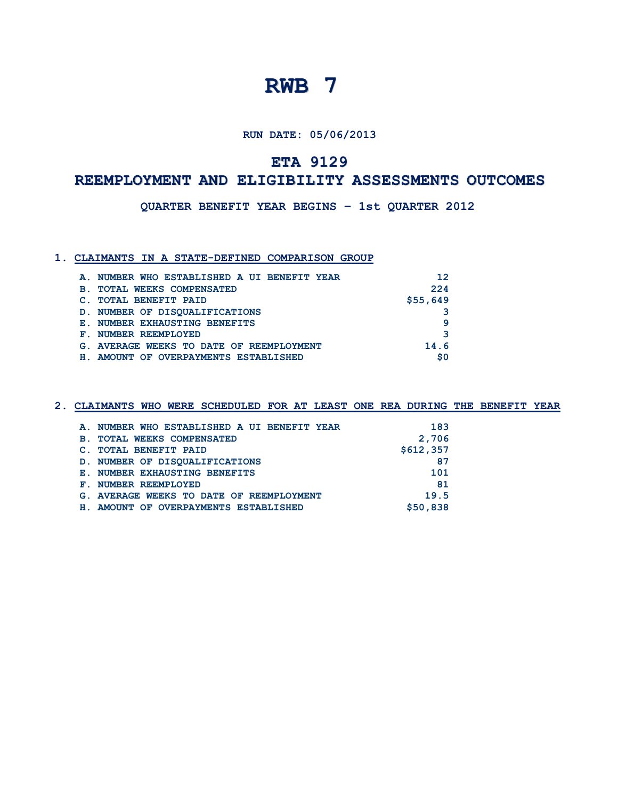**RUN DATE: 05/06/2013**

## **ETA 9129**

## **REEMPLOYMENT AND ELIGIBILITY ASSESSMENTS OUTCOMES**

**QUARTER BENEFIT YEAR BEGINS – 1st QUARTER 2012**

#### **1. CLAIMANTS IN A STATE-DEFINED COMPARISON GROUP**

|            | A. NUMBER WHO ESTABLISHED A UI BENEFIT YEAR | 12       |
|------------|---------------------------------------------|----------|
| <b>B</b> . | <b>TOTAL WEEKS COMPENSATED</b>              | 224      |
|            | <b>TOTAL BENEFIT PAID</b>                   | \$55,649 |
|            | D. NUMBER OF DISOUALIFICATIONS              |          |
|            | E. NUMBER EXHAUSTING BENEFITS               | 9        |
|            | F. NUMBER REEMPLOYED                        | 3        |
|            | G. AVERAGE WEEKS TO DATE OF REEMPLOYMENT    | 14.6     |
|            | H. AMOUNT OF OVERPAYMENTS ESTABLISHED       | \$0      |

|            | A. NUMBER WHO ESTABLISHED A UI BENEFIT YEAR | 183       |
|------------|---------------------------------------------|-----------|
| <b>B</b> . | <b>TOTAL WEEKS COMPENSATED</b>              | 2,706     |
|            | C. TOTAL BENEFIT PAID                       | \$612,357 |
|            | D. NUMBER OF DISOUALIFICATIONS              | 87        |
|            | <b>E. NUMBER EXHAUSTING BENEFITS</b>        | 101       |
|            | F. NUMBER REEMPLOYED                        | 81        |
|            | G. AVERAGE WEEKS TO DATE OF REEMPLOYMENT    | 19.5      |
|            | H. AMOUNT OF OVERPAYMENTS ESTABLISHED       | \$50,838  |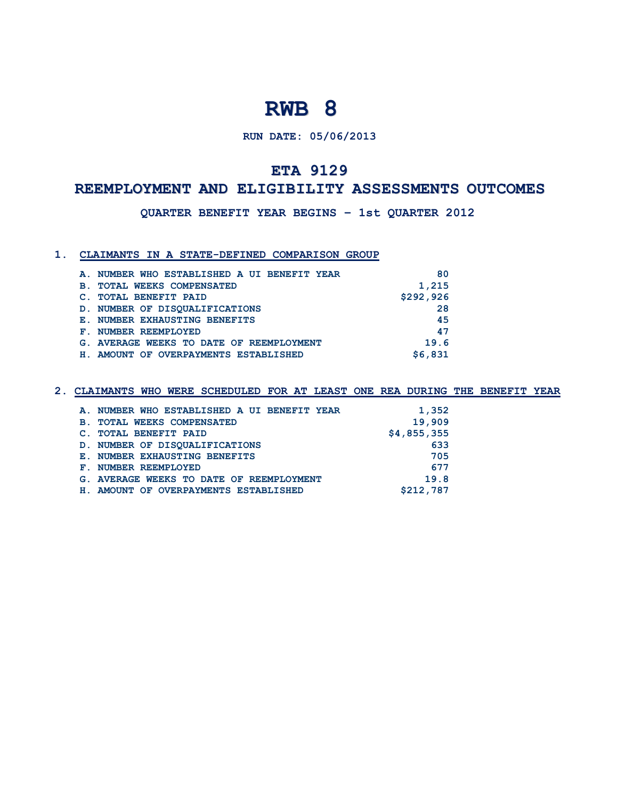### **RUN DATE: 05/06/2013**

## **ETA 9129**

### **REEMPLOYMENT AND ELIGIBILITY ASSESSMENTS OUTCOMES**

**QUARTER BENEFIT YEAR BEGINS – 1st QUARTER 2012**

#### **1. CLAIMANTS IN A STATE-DEFINED COMPARISON GROUP**

| A. NUMBER WHO ESTABLISHED A UI BENEFIT YEAR  | 80        |
|----------------------------------------------|-----------|
| <b>TOTAL WEEKS COMPENSATED</b><br><b>B</b> . | 1,215     |
| <b>TOTAL BENEFIT PAID</b>                    | \$292,926 |
| D. NUMBER OF DISOUALIFICATIONS               | 28        |
| E. NUMBER EXHAUSTING BENEFITS                | 45        |
| F. NUMBER REEMPLOYED                         | 47        |
| G. AVERAGE WEEKS TO DATE OF REEMPLOYMENT     | 19.6      |
| AMOUNT OF OVERPAYMENTS ESTABLISHED<br>н.     | \$6,831   |

|            | A. NUMBER WHO ESTABLISHED A UI BENEFIT YEAR | 1,352       |
|------------|---------------------------------------------|-------------|
| <b>B</b> . | <b>TOTAL WEEKS COMPENSATED</b>              | 19,909      |
|            | <b>TOTAL BENEFIT PAID</b>                   | \$4,855,355 |
|            | D. NUMBER OF DISOUALIFICATIONS              | 633         |
|            | E. NUMBER EXHAUSTING BENEFITS               | 705         |
|            | F. NUMBER REEMPLOYED                        | 677         |
|            | G. AVERAGE WEEKS TO DATE OF REEMPLOYMENT    | 19.8        |
|            | H. AMOUNT OF OVERPAYMENTS ESTABLISHED       | \$212,787   |
|            |                                             |             |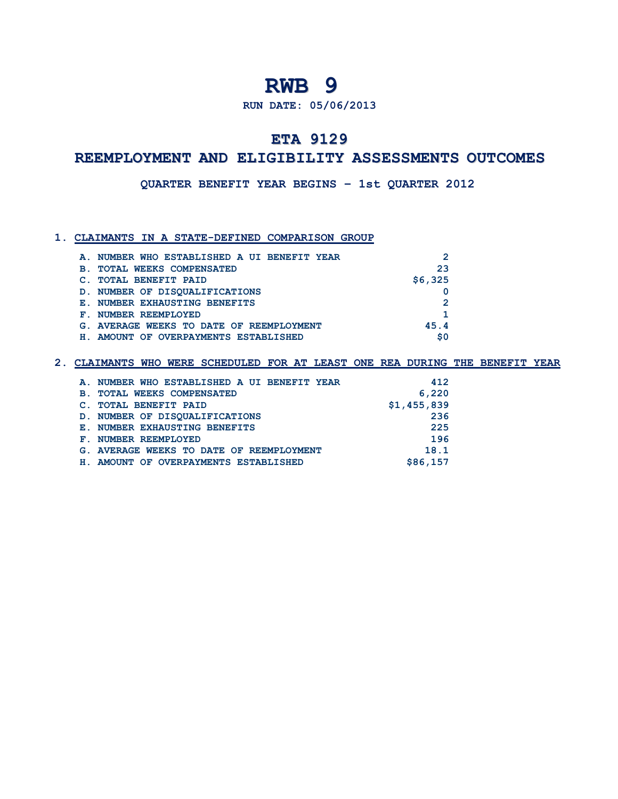#### **RUN DATE: 05/06/2013**

## **ETA 9129**

## **REEMPLOYMENT AND ELIGIBILITY ASSESSMENTS OUTCOMES**

**QUARTER BENEFIT YEAR BEGINS – 1st QUARTER 2012**

#### **1. CLAIMANTS IN A STATE-DEFINED COMPARISON GROUP**

| A. NUMBER WHO ESTABLISHED A UI BENEFIT YEAR | $\mathcal{P}$ |
|---------------------------------------------|---------------|
| <b>B. TOTAL WEEKS COMPENSATED</b>           | 23            |
| C. TOTAL BENEFIT PAID                       | \$6,325       |
| D. NUMBER OF DISOUALIFICATIONS              |               |
| E. NUMBER EXHAUSTING BENEFITS               | $\mathcal{P}$ |
| F. NUMBER REEMPLOYED                        |               |
| G. AVERAGE WEEKS TO DATE OF REEMPLOYMENT    | 45.4          |
| AMOUNT OF OVERPAYMENTS ESTABLISHED          | \$0           |

| A. NUMBER WHO ESTABLISHED A UI BENEFIT YEAR      | 412         |
|--------------------------------------------------|-------------|
| <b>TOTAL WEEKS COMPENSATED</b><br>$\mathbf{B}$ . | 6,220       |
| <b>TOTAL BENEFIT PAID</b>                        | \$1,455,839 |
| D. NUMBER OF DISOUALIFICATIONS                   | 236         |
| E. NUMBER EXHAUSTING BENEFITS                    | 225         |
| F. NUMBER REEMPLOYED                             | 196         |
| G. AVERAGE WEEKS TO DATE OF REEMPLOYMENT         | 18.1        |
| H. AMOUNT OF OVERPAYMENTS ESTABLISHED            | \$86,157    |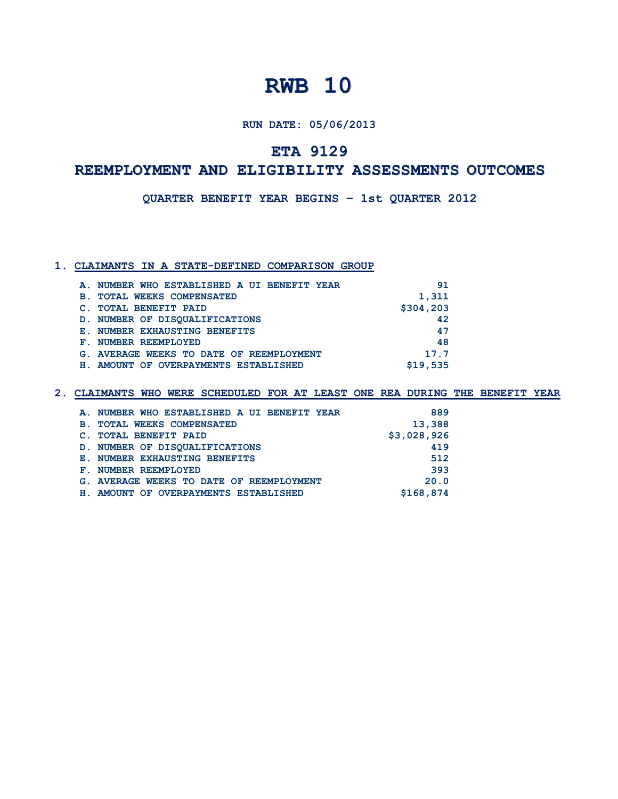**RUN DATE: 05/06/2013**

## **ETA 9129**

### **REEMPLOYMENT AND ELIGIBILITY ASSESSMENTS OUTCOMES**

**QUARTER BENEFIT YEAR BEGINS – 1st QUARTER 2012**

#### **1. CLAIMANTS IN A STATE-DEFINED COMPARISON GROUP**

| A. NUMBER WHO ESTABLISHED A UI BENEFIT YEAR  | 91        |
|----------------------------------------------|-----------|
| <b>TOTAL WEEKS COMPENSATED</b><br><b>B</b> . | 1,311     |
| <b>TOTAL BENEFIT PAID</b>                    | \$304,203 |
| D. NUMBER OF DISOUALIFICATIONS               | 42        |
| E. NUMBER EXHAUSTING BENEFITS                | 47        |
| F. NUMBER REEMPLOYED                         | 48        |
| G. AVERAGE WEEKS TO DATE OF REEMPLOYMENT     | 17.7      |
| AMOUNT OF OVERPAYMENTS ESTABLISHED<br>H.,    | \$19,535  |

|            | A. NUMBER WHO ESTABLISHED A UI BENEFIT YEAR | 889         |
|------------|---------------------------------------------|-------------|
| <b>B</b> . | <b>TOTAL WEEKS COMPENSATED</b>              | 13,388      |
|            | <b>TOTAL BENEFIT PAID</b>                   | \$3,028,926 |
|            | D. NUMBER OF DISOUALIFICATIONS              | 419         |
|            | E. NUMBER EXHAUSTING BENEFITS               | 512         |
|            | F. NUMBER REEMPLOYED                        | 393         |
|            | G. AVERAGE WEEKS TO DATE OF REEMPLOYMENT    | 20.0        |
| H.,        | AMOUNT OF OVERPAYMENTS ESTABLISHED          | \$168,874   |
|            |                                             |             |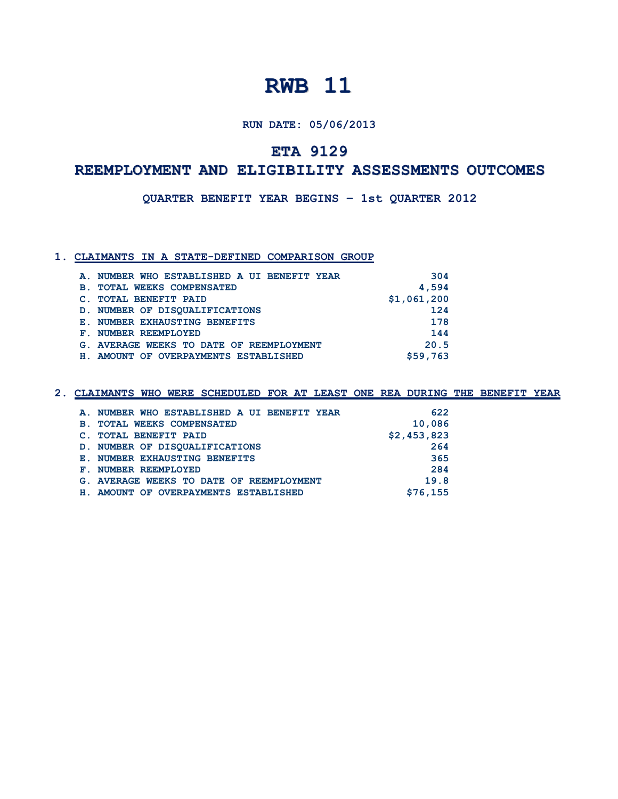**RUN DATE: 05/06/2013**

## **ETA 9129**

### **REEMPLOYMENT AND ELIGIBILITY ASSESSMENTS OUTCOMES**

**QUARTER BENEFIT YEAR BEGINS – 1st QUARTER 2012**

#### **1. CLAIMANTS IN A STATE-DEFINED COMPARISON GROUP**

|             | A. NUMBER WHO ESTABLISHED A UI BENEFIT YEAR | 304         |
|-------------|---------------------------------------------|-------------|
| <b>B</b> .  | <b>TOTAL WEEKS COMPENSATED</b>              | 4,594       |
|             | <b>TOTAL BENEFIT PAID</b>                   | \$1,061,200 |
|             | D. NUMBER OF DISOUALIFICATIONS              | 124         |
|             | E. NUMBER EXHAUSTING BENEFITS               | 178         |
| ${\bf F}$ . | NUMBER REEMPLOYED                           | 144         |
|             | G. AVERAGE WEEKS TO DATE OF REEMPLOYMENT    | 20.5        |
|             | H. AMOUNT OF OVERPAYMENTS ESTABLISHED       | \$59,763    |

| A. NUMBER WHO ESTABLISHED A UI BENEFIT YEAR | 622         |
|---------------------------------------------|-------------|
| <b>B. TOTAL WEEKS COMPENSATED</b>           | 10,086      |
| C. TOTAL BENEFIT PAID                       | \$2,453,823 |
| D. NUMBER OF DISOUALIFICATIONS              | 264         |
| E. NUMBER EXHAUSTING BENEFITS               | 365         |
| F. NUMBER REEMPLOYED                        | 284         |
| G. AVERAGE WEEKS TO DATE OF REEMPLOYMENT    | 19.8        |
| H. AMOUNT OF OVERPAYMENTS ESTABLISHED       | \$76,155    |
|                                             |             |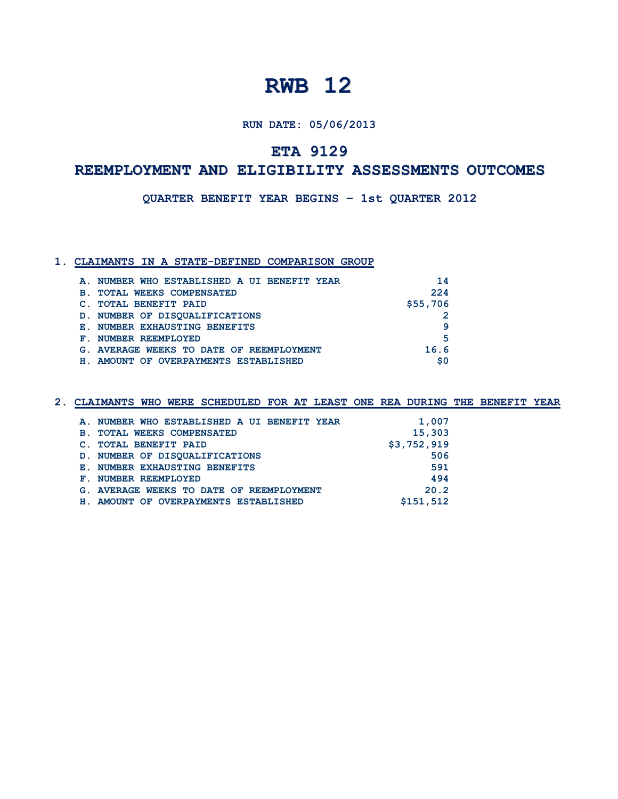**RUN DATE: 05/06/2013**

## **ETA 9129**

# **REEMPLOYMENT AND ELIGIBILITY ASSESSMENTS OUTCOMES**

**QUARTER BENEFIT YEAR BEGINS – 1st QUARTER 2012**

#### **1. CLAIMANTS IN A STATE-DEFINED COMPARISON GROUP**

|                | A. NUMBER WHO ESTABLISHED A UI BENEFIT YEAR | 14       |
|----------------|---------------------------------------------|----------|
| $\mathbf{B}$ . | <b>TOTAL WEEKS COMPENSATED</b>              | 224      |
|                | <b>TOTAL BENEFIT PAID</b>                   | \$55,706 |
|                | D. NUMBER OF DISOUALIFICATIONS              |          |
|                | E. NUMBER EXHAUSTING BENEFITS               | q        |
|                | F. NUMBER REEMPLOYED                        | 5        |
|                | G. AVERAGE WEEKS TO DATE OF REEMPLOYMENT    | 16.6     |
|                | H. AMOUNT OF OVERPAYMENTS ESTABLISHED       | \$0      |

| A. NUMBER WHO ESTABLISHED A UI BENEFIT YEAR | 1,007       |
|---------------------------------------------|-------------|
| <b>B. TOTAL WEEKS COMPENSATED</b>           | 15,303      |
| C. TOTAL BENEFIT PAID                       | \$3,752,919 |
| D. NUMBER OF DISOUALIFICATIONS              | 506         |
| E. NUMBER EXHAUSTING BENEFITS               | 591         |
| F. NUMBER REEMPLOYED                        | 494         |
| G. AVERAGE WEEKS TO DATE OF REEMPLOYMENT    | 20.2        |
| H. AMOUNT OF OVERPAYMENTS ESTABLISHED       | \$151,512   |
|                                             |             |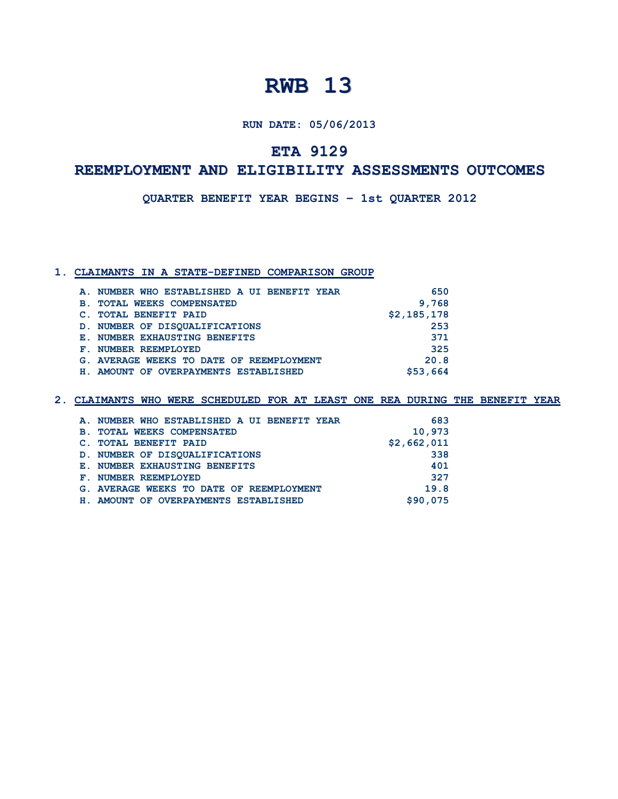**RUN DATE: 05/06/2013**

## **ETA 9129**

### **REEMPLOYMENT AND ELIGIBILITY ASSESSMENTS OUTCOMES**

**QUARTER BENEFIT YEAR BEGINS – 1st QUARTER 2012**

#### **1. CLAIMANTS IN A STATE-DEFINED COMPARISON GROUP**

| A. NUMBER WHO ESTABLISHED A UI BENEFIT YEAR  | 650         |
|----------------------------------------------|-------------|
| <b>TOTAL WEEKS COMPENSATED</b><br><b>B</b> . | 9,768       |
| <b>TOTAL BENEFIT PAID</b>                    | \$2,185,178 |
| D. NUMBER OF DISOUALIFICATIONS               | 253         |
| E. NUMBER EXHAUSTING BENEFITS                | 371         |
| NUMBER REEMPLOYED<br>${\bf F}$ .             | 325         |
| G. AVERAGE WEEKS TO DATE OF REEMPLOYMENT     | 20.8        |
| H. AMOUNT OF OVERPAYMENTS ESTABLISHED        | \$53,664    |

|            | A. NUMBER WHO ESTABLISHED A UI BENEFIT YEAR | 683         |
|------------|---------------------------------------------|-------------|
| <b>B</b> . | <b>TOTAL WEEKS COMPENSATED</b>              | 10,973      |
|            | C. TOTAL BENEFIT PAID                       | \$2,662,011 |
|            | D. NUMBER OF DISOUALIFICATIONS              | 338         |
|            | E. NUMBER EXHAUSTING BENEFITS               | 401         |
|            | F. NUMBER REEMPLOYED                        | 327         |
|            | G. AVERAGE WEEKS TO DATE OF REEMPLOYMENT    | 19.8        |
|            | H. AMOUNT OF OVERPAYMENTS ESTABLISHED       | \$90,075    |
|            |                                             |             |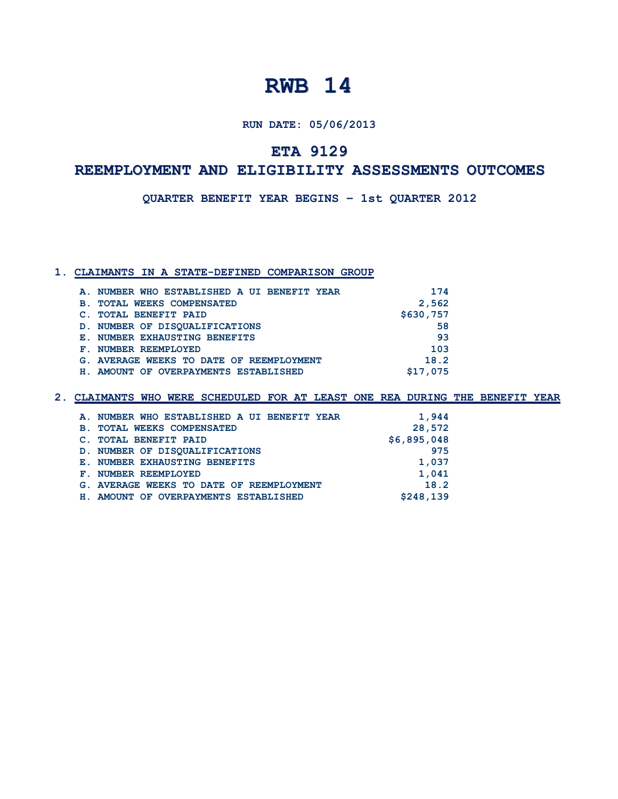**RUN DATE: 05/06/2013**

## **ETA 9129**

### **REEMPLOYMENT AND ELIGIBILITY ASSESSMENTS OUTCOMES**

**QUARTER BENEFIT YEAR BEGINS – 1st QUARTER 2012**

#### **1. CLAIMANTS IN A STATE-DEFINED COMPARISON GROUP**

| A. NUMBER WHO ESTABLISHED A UI BENEFIT YEAR | 174       |
|---------------------------------------------|-----------|
| <b>B. TOTAL WEEKS COMPENSATED</b>           | 2,562     |
| C. TOTAL BENEFIT PAID                       | \$630,757 |
| D. NUMBER OF DISOUALIFICATIONS              | 58        |
| E. NUMBER EXHAUSTING BENEFITS               | -93       |
| F. NUMBER REEMPLOYED                        | 103       |
| G. AVERAGE WEEKS TO DATE OF REEMPLOYMENT    | 18.2      |
| H. AMOUNT OF OVERPAYMENTS ESTABLISHED       | \$17,075  |
|                                             |           |

|            | A. NUMBER WHO ESTABLISHED A UI BENEFIT YEAR | 1,944       |
|------------|---------------------------------------------|-------------|
| <b>B</b> . | <b>TOTAL WEEKS COMPENSATED</b>              | 28,572      |
|            | C. TOTAL BENEFIT PAID                       | \$6,895,048 |
|            | D. NUMBER OF DISOUALIFICATIONS              | 975         |
|            | E. NUMBER EXHAUSTING BENEFITS               | 1,037       |
|            | F. NUMBER REEMPLOYED                        | 1,041       |
|            | G. AVERAGE WEEKS TO DATE OF REEMPLOYMENT    | 18.2        |
|            | H. AMOUNT OF OVERPAYMENTS ESTABLISHED       | \$248,139   |
|            |                                             |             |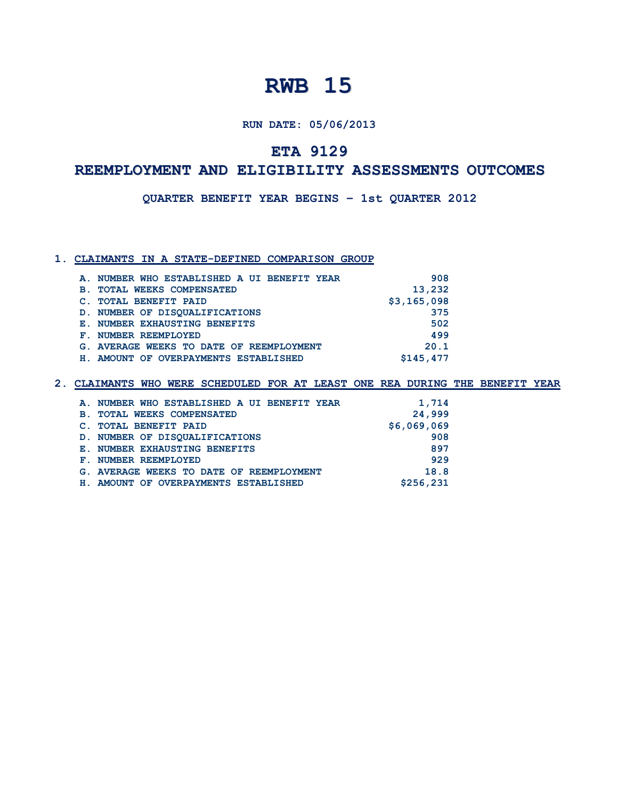**RUN DATE: 05/06/2013**

## **ETA 9129**

## **REEMPLOYMENT AND ELIGIBILITY ASSESSMENTS OUTCOMES**

**QUARTER BENEFIT YEAR BEGINS – 1st QUARTER 2012**

#### **1. CLAIMANTS IN A STATE-DEFINED COMPARISON GROUP**

|                | A. NUMBER WHO ESTABLISHED A UI BENEFIT YEAR | 908         |
|----------------|---------------------------------------------|-------------|
| $\mathbf{B}$ . | <b>TOTAL WEEKS COMPENSATED</b>              | 13,232      |
|                | <b>TOTAL BENEFIT PAID</b>                   | \$3,165,098 |
|                | D. NUMBER OF DISOUALIFICATIONS              | 375         |
|                | E. NUMBER EXHAUSTING BENEFITS               | 502         |
| Е.             | NUMBER REEMPLOYED                           | 499         |
|                | G. AVERAGE WEEKS TO DATE OF REEMPLOYMENT    | 20.1        |
|                | H. AMOUNT OF OVERPAYMENTS ESTABLISHED       | \$145,477   |
|                |                                             |             |

| A. NUMBER WHO ESTABLISHED A UI BENEFIT YEAR | 1,714       |
|---------------------------------------------|-------------|
| <b>B. TOTAL WEEKS COMPENSATED</b>           | 24,999      |
| C. TOTAL BENEFIT PAID                       | \$6,069,069 |
| D. NUMBER OF DISOUALIFICATIONS              | 908         |
| E. NUMBER EXHAUSTING BENEFITS               | 897         |
| F. NUMBER REEMPLOYED                        | 929         |
| G. AVERAGE WEEKS TO DATE OF REEMPLOYMENT    | 18.8        |
| H. AMOUNT OF OVERPAYMENTS ESTABLISHED       | \$256,231   |
|                                             |             |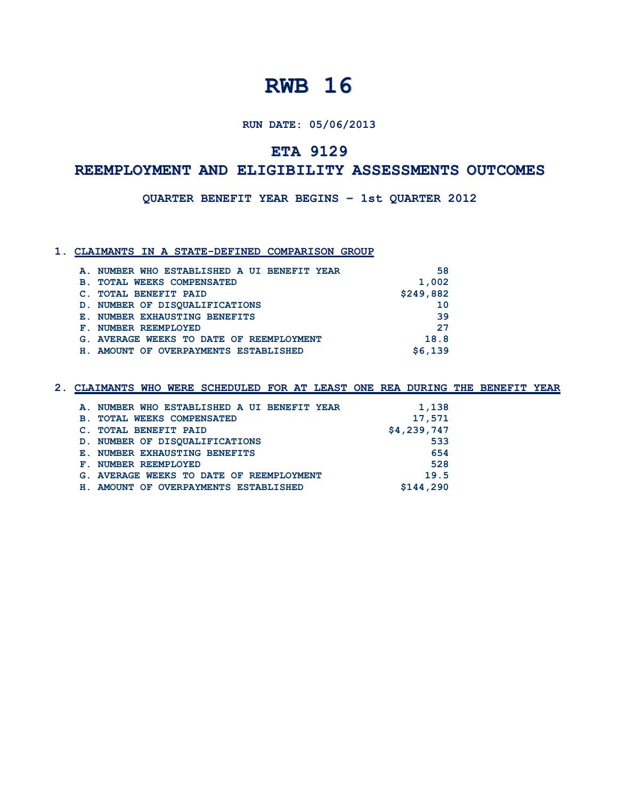#### **RUN DATE: 05/06/2013**

## **ETA 9129**

### **REEMPLOYMENT AND ELIGIBILITY ASSESSMENTS OUTCOMES**

**QUARTER BENEFIT YEAR BEGINS – 1st QUARTER 2012**

#### **1. CLAIMANTS IN A STATE-DEFINED COMPARISON GROUP**

|           | A. NUMBER WHO ESTABLISHED A UI BENEFIT YEAR | 58        |
|-----------|---------------------------------------------|-----------|
| <b>B.</b> | <b>TOTAL WEEKS COMPENSATED</b>              | 1,002     |
|           | <b>TOTAL BENEFIT PAID</b>                   | \$249,882 |
|           | D. NUMBER OF DISOUALIFICATIONS              | 10        |
|           | E. NUMBER EXHAUSTING BENEFITS               | 39        |
|           | F. NUMBER REEMPLOYED                        | 27        |
|           | G. AVERAGE WEEKS TO DATE OF REEMPLOYMENT    | 18.8      |
| H.,       | AMOUNT OF OVERPAYMENTS ESTABLISHED          | \$6.139   |

|            | A. NUMBER WHO ESTABLISHED A UI BENEFIT YEAR | 1,138       |
|------------|---------------------------------------------|-------------|
| <b>B</b> . | <b>TOTAL WEEKS COMPENSATED</b>              | 17,571      |
|            | <b>TOTAL BENEFIT PAID</b>                   | \$4,239,747 |
|            | D. NUMBER OF DISOUALIFICATIONS              | 533         |
|            | E. NUMBER EXHAUSTING BENEFITS               | 654         |
|            | F. NUMBER REEMPLOYED                        | 528         |
|            | G. AVERAGE WEEKS TO DATE OF REEMPLOYMENT    | 19.5        |
|            | H. AMOUNT OF OVERPAYMENTS ESTABLISHED       | \$144,290   |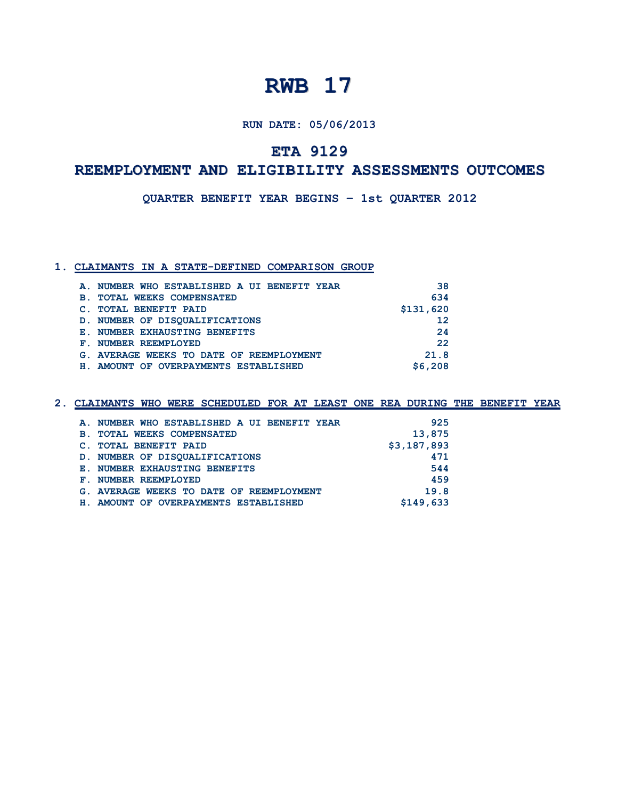**RUN DATE: 05/06/2013**

## **ETA 9129**

## **REEMPLOYMENT AND ELIGIBILITY ASSESSMENTS OUTCOMES**

**QUARTER BENEFIT YEAR BEGINS – 1st QUARTER 2012**

#### **1. CLAIMANTS IN A STATE-DEFINED COMPARISON GROUP**

|             | A. NUMBER WHO ESTABLISHED A UI BENEFIT YEAR | 38        |
|-------------|---------------------------------------------|-----------|
| <b>B</b> .  | <b>TOTAL WEEKS COMPENSATED</b>              | 634       |
|             | <b>TOTAL BENEFIT PAID</b>                   | \$131,620 |
|             | D. NUMBER OF DISOUALIFICATIONS              | 12        |
|             | E. NUMBER EXHAUSTING BENEFITS               | 24        |
| ${\bf F}$ . | NUMBER REEMPLOYED                           | 22        |
|             | G. AVERAGE WEEKS TO DATE OF REEMPLOYMENT    | 21.8      |
|             | H. AMOUNT OF OVERPAYMENTS ESTABLISHED       | \$6,208   |

|  |  | 2. CLAIMANTS WHO WERE SCHEDULED FOR AT LEAST ONE REA DURING THE BENEFIT YEAR |  |  |  |  |  |
|--|--|------------------------------------------------------------------------------|--|--|--|--|--|
|  |  |                                                                              |  |  |  |  |  |

| A. NUMBER WHO ESTABLISHED A UI BENEFIT YEAR | 925         |
|---------------------------------------------|-------------|
| <b>B. TOTAL WEEKS COMPENSATED</b>           | 13,875      |
| C. TOTAL BENEFIT PAID                       | \$3,187,893 |
| D. NUMBER OF DISOUALIFICATIONS              | 471         |
| E. NUMBER EXHAUSTING BENEFITS               | 544         |
| F. NUMBER REEMPLOYED                        | 459         |
| G. AVERAGE WEEKS TO DATE OF REEMPLOYMENT    | 19.8        |
| H. AMOUNT OF OVERPAYMENTS ESTABLISHED       | \$149,633   |
|                                             |             |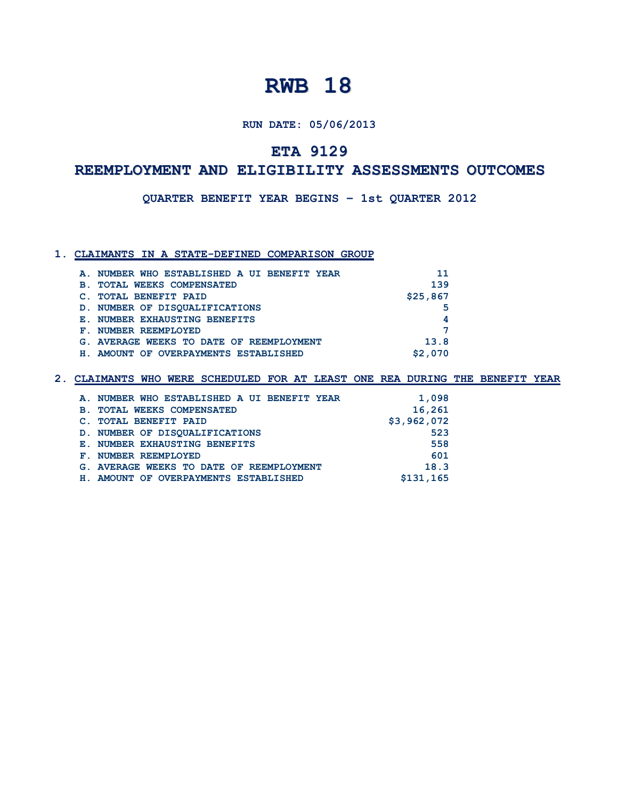#### **RUN DATE: 05/06/2013**

## **ETA 9129**

### **REEMPLOYMENT AND ELIGIBILITY ASSESSMENTS OUTCOMES**

**QUARTER BENEFIT YEAR BEGINS – 1st QUARTER 2012**

#### **1. CLAIMANTS IN A STATE-DEFINED COMPARISON GROUP**

| A. NUMBER WHO ESTABLISHED A UI BENEFIT YEAR  | 11       |
|----------------------------------------------|----------|
| <b>TOTAL WEEKS COMPENSATED</b><br><b>B</b> . | 139      |
| <b>TOTAL BENEFIT PAID</b>                    | \$25,867 |
| D. NUMBER OF DISOUALIFICATIONS               | 5        |
| E. NUMBER EXHAUSTING BENEFITS                | 4        |
| F. NUMBER REEMPLOYED                         | ⇁        |
| G. AVERAGE WEEKS TO DATE OF REEMPLOYMENT     | 13.8     |
| AMOUNT OF OVERPAYMENTS ESTABLISHED           | \$2,070  |

| A. NUMBER WHO ESTABLISHED A UI BENEFIT YEAR | 1,098       |
|---------------------------------------------|-------------|
| <b>B. TOTAL WEEKS COMPENSATED</b>           | 16,261      |
| C. TOTAL BENEFIT PAID                       | \$3,962,072 |
| D. NUMBER OF DISOUALIFICATIONS              | 523         |
| E. NUMBER EXHAUSTING BENEFITS               | 558         |
| F. NUMBER REEMPLOYED                        | 601         |
| G. AVERAGE WEEKS TO DATE OF REEMPLOYMENT    | 18.3        |
| H. AMOUNT OF OVERPAYMENTS ESTABLISHED       | \$131,165   |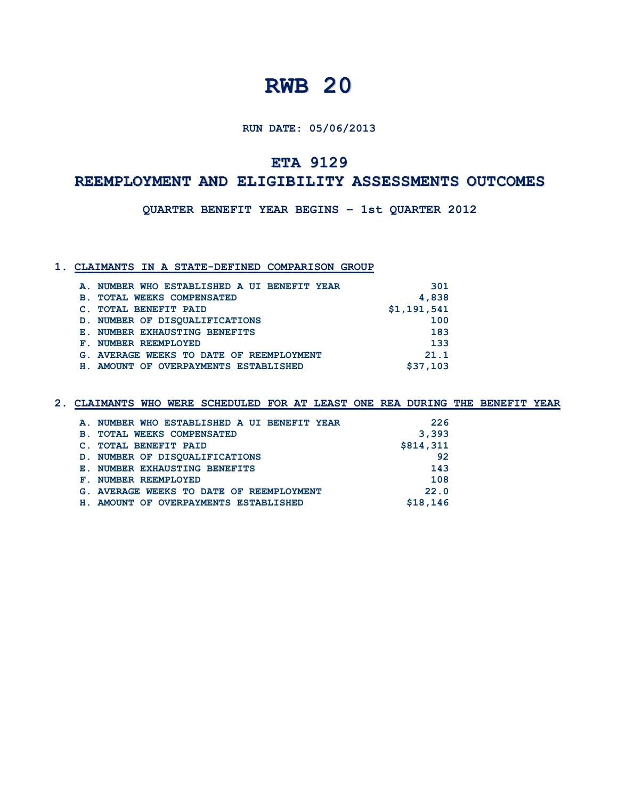**RUN DATE: 05/06/2013**

## **ETA 9129**

## **REEMPLOYMENT AND ELIGIBILITY ASSESSMENTS OUTCOMES**

**QUARTER BENEFIT YEAR BEGINS – 1st QUARTER 2012**

#### **1. CLAIMANTS IN A STATE-DEFINED COMPARISON GROUP**

|                | A. NUMBER WHO ESTABLISHED A UI BENEFIT YEAR | 301         |
|----------------|---------------------------------------------|-------------|
| $\mathbf{B}$ . | <b>TOTAL WEEKS COMPENSATED</b>              | 4,838       |
|                | <b>TOTAL BENEFIT PAID</b>                   | \$1,191,541 |
|                | D. NUMBER OF DISOUALIFICATIONS              | 100         |
|                | E. NUMBER EXHAUSTING BENEFITS               | 183         |
|                | F. NUMBER REEMPLOYED                        | 133         |
|                | G. AVERAGE WEEKS TO DATE OF REEMPLOYMENT    | 21.1        |
| H.,            | AMOUNT OF OVERPAYMENTS ESTABLISHED          | \$37,103    |
|                |                                             |             |

| A. NUMBER WHO ESTABLISHED A UI BENEFIT YEAR | 226       |
|---------------------------------------------|-----------|
| <b>B. TOTAL WEEKS COMPENSATED</b>           | 3,393     |
| C. TOTAL BENEFIT PAID                       | \$814,311 |
| D. NUMBER OF DISOUALIFICATIONS              | 92        |
| E. NUMBER EXHAUSTING BENEFITS               | 143       |
| F. NUMBER REEMPLOYED                        | 108       |
| G. AVERAGE WEEKS TO DATE OF REEMPLOYMENT    | 22.0      |
| H. AMOUNT OF OVERPAYMENTS ESTABLISHED       | \$18,146  |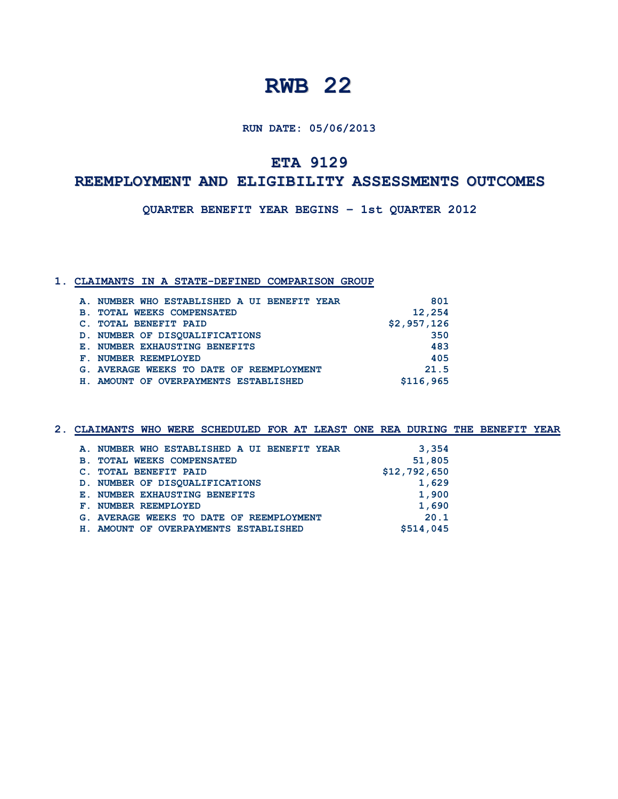**RUN DATE: 05/06/2013**

## **ETA 9129**

## **REEMPLOYMENT AND ELIGIBILITY ASSESSMENTS OUTCOMES**

**QUARTER BENEFIT YEAR BEGINS – 1st QUARTER 2012**

#### **1. CLAIMANTS IN A STATE-DEFINED COMPARISON GROUP**

|            | A. NUMBER WHO ESTABLISHED A UI BENEFIT YEAR | 801         |
|------------|---------------------------------------------|-------------|
| <b>B</b> . | <b>TOTAL WEEKS COMPENSATED</b>              | 12,254      |
|            | C. TOTAL BENEFIT PAID                       | \$2,957,126 |
|            | D. NUMBER OF DISOUALIFICATIONS              | 350         |
|            | E. NUMBER EXHAUSTING BENEFITS               | 483         |
|            | F. NUMBER REEMPLOYED                        | 405         |
|            | G. AVERAGE WEEKS TO DATE OF REEMPLOYMENT    | 21.5        |
|            | H. AMOUNT OF OVERPAYMENTS ESTABLISHED       | \$116,965   |

| A. NUMBER WHO ESTABLISHED A UI BENEFIT YEAR | 3,354        |
|---------------------------------------------|--------------|
| <b>B. TOTAL WEEKS COMPENSATED</b>           | 51,805       |
| C. TOTAL BENEFIT PAID                       | \$12,792,650 |
| D. NUMBER OF DISOUALIFICATIONS              | 1,629        |
| E. NUMBER EXHAUSTING BENEFITS               | 1,900        |
| F. NUMBER REEMPLOYED                        | 1,690        |
| G. AVERAGE WEEKS TO DATE OF REEMPLOYMENT    | 20.1         |
| H. AMOUNT OF OVERPAYMENTS ESTABLISHED       | \$514,045    |